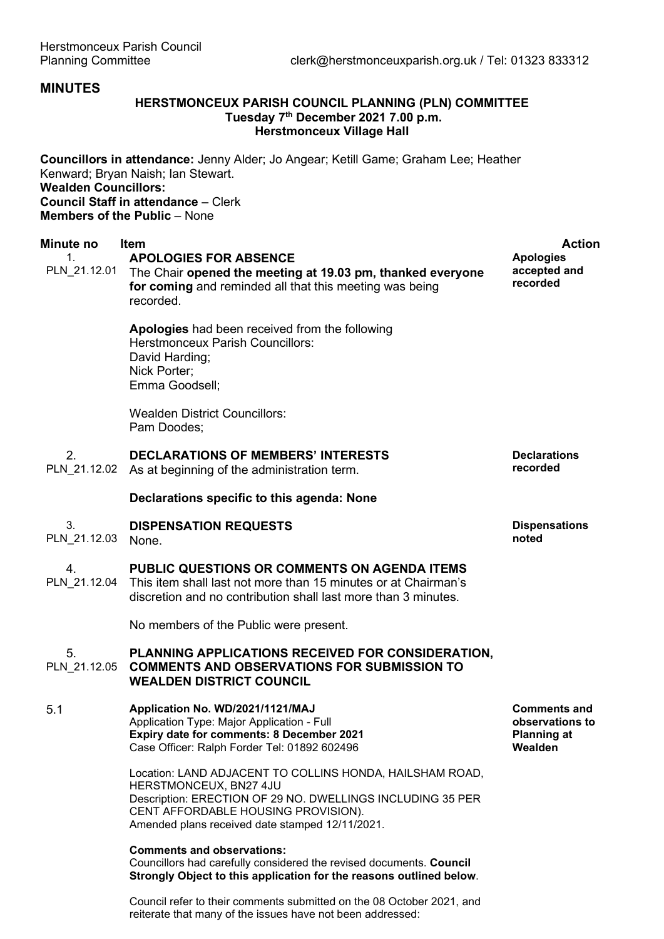## **MINUTES**

## **HERSTMONCEUX PARISH COUNCIL PLANNING (PLN) COMMITTEE Tuesday 7th December 2021 7.00 p.m. Herstmonceux Village Hall**

**Councillors in attendance:** Jenny Alder; Jo Angear; Ketill Game; Graham Lee; Heather Kenward; Bryan Naish; Ian Stewart. **Wealden Councillors: Council Staff in attendance** – Clerk **Members of the Public** – None

| Minute no<br>1.<br>PLN_21.12.01 | Item<br><b>APOLOGIES FOR ABSENCE</b><br>The Chair opened the meeting at 19.03 pm, thanked everyone<br>for coming and reminded all that this meeting was being<br>recorded.                                                                 | <b>Action</b><br><b>Apologies</b><br>accepted and<br>recorded           |
|---------------------------------|--------------------------------------------------------------------------------------------------------------------------------------------------------------------------------------------------------------------------------------------|-------------------------------------------------------------------------|
|                                 | Apologies had been received from the following<br><b>Herstmonceux Parish Councillors:</b><br>David Harding;<br>Nick Porter;<br>Emma Goodsell;                                                                                              |                                                                         |
|                                 | <b>Wealden District Councillors:</b><br>Pam Doodes;                                                                                                                                                                                        |                                                                         |
| 2.<br>PLN 21.12.02              | <b>DECLARATIONS OF MEMBERS' INTERESTS</b><br>As at beginning of the administration term.                                                                                                                                                   | <b>Declarations</b><br>recorded                                         |
|                                 | Declarations specific to this agenda: None                                                                                                                                                                                                 |                                                                         |
| 3.<br>PLN_21.12.03              | <b>DISPENSATION REQUESTS</b><br>None.                                                                                                                                                                                                      | <b>Dispensations</b><br>noted                                           |
| 4.<br>PLN 21.12.04              | PUBLIC QUESTIONS OR COMMENTS ON AGENDA ITEMS<br>This item shall last not more than 15 minutes or at Chairman's<br>discretion and no contribution shall last more than 3 minutes.                                                           |                                                                         |
|                                 | No members of the Public were present.                                                                                                                                                                                                     |                                                                         |
| 5.<br>PLN 21.12.05              | PLANNING APPLICATIONS RECEIVED FOR CONSIDERATION,<br><b>COMMENTS AND OBSERVATIONS FOR SUBMISSION TO</b><br><b>WEALDEN DISTRICT COUNCIL</b>                                                                                                 |                                                                         |
| 5.1                             | Application No. WD/2021/1121/MAJ<br>Application Type: Major Application - Full<br>Expiry date for comments: 8 December 2021<br>Case Officer: Ralph Forder Tel: 01892 602496                                                                | <b>Comments and</b><br>observations to<br><b>Planning at</b><br>Wealden |
|                                 | Location: LAND ADJACENT TO COLLINS HONDA, HAILSHAM ROAD,<br>HERSTMONCEUX, BN27 4JU<br>Description: ERECTION OF 29 NO. DWELLINGS INCLUDING 35 PER<br>CENT AFFORDABLE HOUSING PROVISION).<br>Amended plans received date stamped 12/11/2021. |                                                                         |
|                                 | <b>Comments and observations:</b><br>Councillors had carefully considered the revised documents. Council<br>Strongly Object to this application for the reasons outlined below.                                                            |                                                                         |

Council refer to their comments submitted on the 08 October 2021, and reiterate that many of the issues have not been addressed: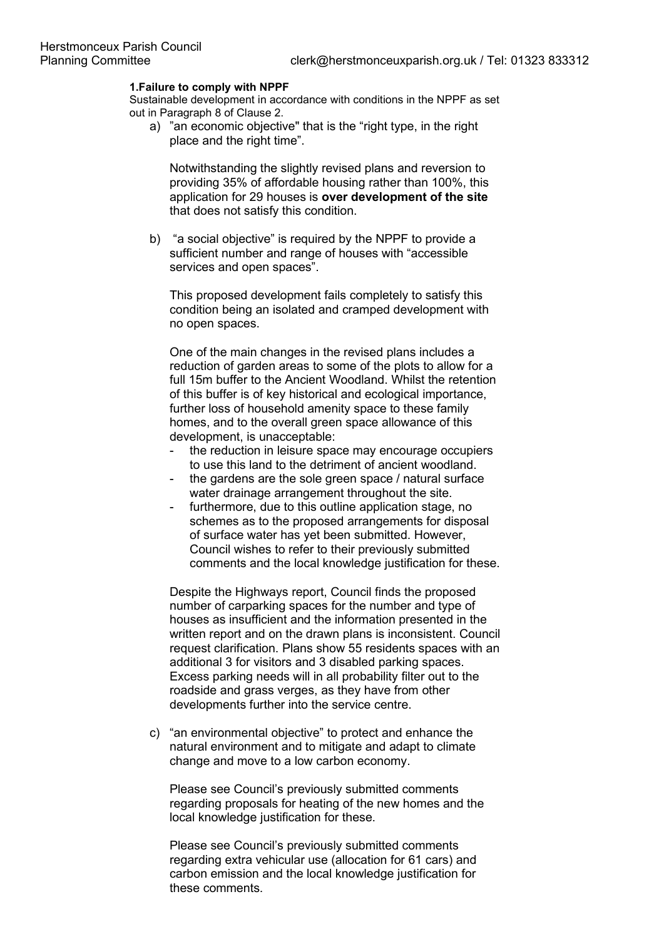### **1.Failure to comply with NPPF**

Sustainable development in accordance with conditions in the NPPF as set out in Paragraph 8 of Clause 2.

a) "an economic objective" that is the "right type, in the right place and the right time".

Notwithstanding the slightly revised plans and reversion to providing 35% of affordable housing rather than 100%, this application for 29 houses is **over development of the site** that does not satisfy this condition.

b) "a social objective" is required by the NPPF to provide a sufficient number and range of houses with "accessible services and open spaces".

This proposed development fails completely to satisfy this condition being an isolated and cramped development with no open spaces.

One of the main changes in the revised plans includes a reduction of garden areas to some of the plots to allow for a full 15m buffer to the Ancient Woodland. Whilst the retention of this buffer is of key historical and ecological importance, further loss of household amenity space to these family homes, and to the overall green space allowance of this development, is unacceptable:

- the reduction in leisure space may encourage occupiers to use this land to the detriment of ancient woodland.
- the gardens are the sole green space / natural surface water drainage arrangement throughout the site.
- furthermore, due to this outline application stage, no schemes as to the proposed arrangements for disposal of surface water has yet been submitted. However, Council wishes to refer to their previously submitted comments and the local knowledge justification for these.

Despite the Highways report, Council finds the proposed number of carparking spaces for the number and type of houses as insufficient and the information presented in the written report and on the drawn plans is inconsistent. Council request clarification. Plans show 55 residents spaces with an additional 3 for visitors and 3 disabled parking spaces. Excess parking needs will in all probability filter out to the roadside and grass verges, as they have from other developments further into the service centre.

c) "an environmental objective" to protect and enhance the natural environment and to mitigate and adapt to climate change and move to a low carbon economy.

Please see Council's previously submitted comments regarding proposals for heating of the new homes and the local knowledge justification for these.

Please see Council's previously submitted comments regarding extra vehicular use (allocation for 61 cars) and carbon emission and the local knowledge justification for these comments.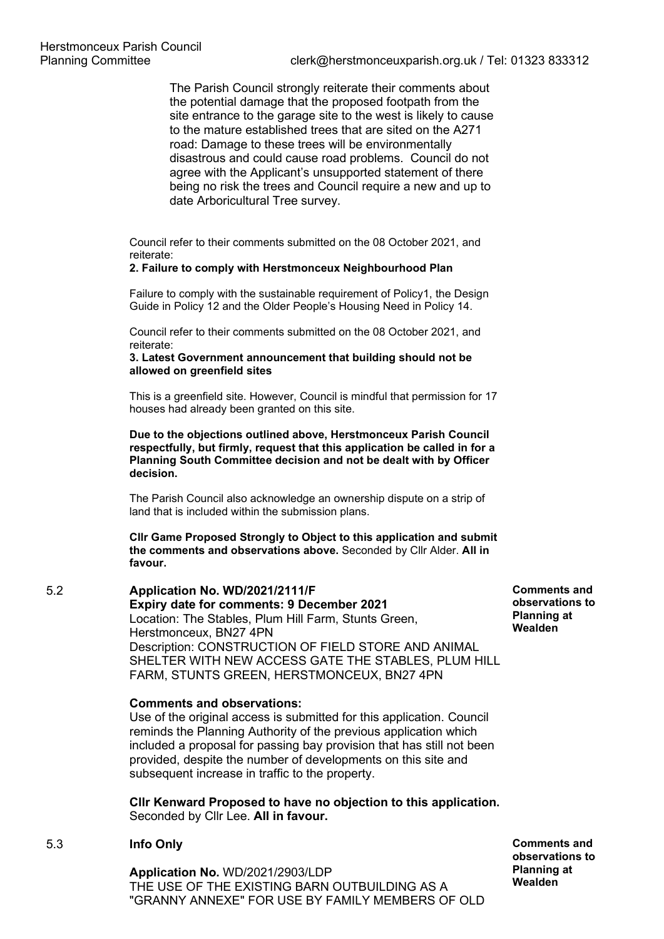The Parish Council strongly reiterate their comments about the potential damage that the proposed footpath from the site entrance to the garage site to the west is likely to cause to the mature established trees that are sited on the A271 road: Damage to these trees will be environmentally disastrous and could cause road problems. Council do not agree with the Applicant's unsupported statement of there being no risk the trees and Council require a new and up to date Arboricultural Tree survey.

Council refer to their comments submitted on the 08 October 2021, and reiterate:

## **2. Failure to comply with Herstmonceux Neighbourhood Plan**

Failure to comply with the sustainable requirement of Policy1, the Design Guide in Policy 12 and the Older People's Housing Need in Policy 14.

Council refer to their comments submitted on the 08 October 2021, and reiterate:

### **3. Latest Government announcement that building should not be allowed on greenfield sites**

This is a greenfield site. However, Council is mindful that permission for 17 houses had already been granted on this site.

**Due to the objections outlined above, Herstmonceux Parish Council respectfully, but firmly, request that this application be called in for a Planning South Committee decision and not be dealt with by Officer decision.**

The Parish Council also acknowledge an ownership dispute on a strip of land that is included within the submission plans.

**Cllr Game Proposed Strongly to Object to this application and submit the comments and observations above.** Seconded by Cllr Alder. **All in favour.**

# 5.2 **Application No. WD/2021/2111/F Expiry date for comments: 9 December 2021**  Location: The Stables, Plum Hill Farm, Stunts Green, Herstmonceux, BN27 4PN Description: CONSTRUCTION OF FIELD STORE AND ANIMAL SHELTER WITH NEW ACCESS GATE THE STABLES, PLUM HILL FARM, STUNTS GREEN, HERSTMONCEUX, BN27 4PN

### **Comments and observations:**

Use of the original access is submitted for this application. Council reminds the Planning Authority of the previous application which included a proposal for passing bay provision that has still not been provided, despite the number of developments on this site and subsequent increase in traffic to the property.

**Cllr Kenward Proposed to have no objection to this application.**  Seconded by Cllr Lee. **All in favour.**

### 5.3 **Info Only**

**Application No.** WD/2021/2903/LDP THE USE OF THE EXISTING BARN OUTBUILDING AS A "GRANNY ANNEXE" FOR USE BY FAMILY MEMBERS OF OLD

**Comments and observations to Planning at Wealden**

**Comments and observations to Planning at Wealden**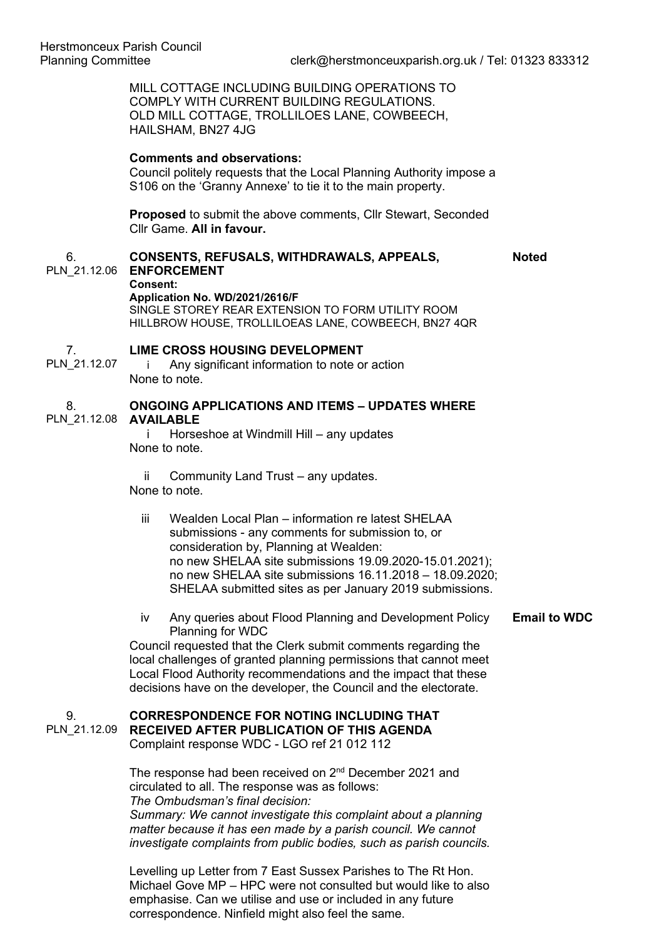MILL COTTAGE INCLUDING BUILDING OPERATIONS TO COMPLY WITH CURRENT BUILDING REGULATIONS. OLD MILL COTTAGE, TROLLILOES LANE, COWBEECH, HAILSHAM, BN27 4JG

### **Comments and observations:**

Council politely requests that the Local Planning Authority impose a S106 on the 'Granny Annexe' to tie it to the main property.

**Proposed** to submit the above comments, Cllr Stewart, Seconded Cllr Game. **All in favour.**

#### 6. **CONSENTS, REFUSALS, WITHDRAWALS, APPEALS,**

**Noted**

PLN\_21.12.06 **ENFORCEMENT Consent:**

**Application No. WD/2021/2616/F**

SINGLE STOREY REAR EXTENSION TO FORM UTILITY ROOM HILLBROW HOUSE, TROLLILOEAS LANE, COWBEECH, BN27 4QR

#### 7. **LIME CROSS HOUSING DEVELOPMENT**

PLN\_21.12.07 i Any significant information to note or action None to note.

#### 8. PLN\_21.12.08 **AVAILABLE ONGOING APPLICATIONS AND ITEMS – UPDATES WHERE**

i Horseshoe at Windmill Hill – any updates None to note.

ii Community Land Trust – any updates. None to note.

- iii Wealden Local Plan information re latest SHELAA submissions - any comments for submission to, or consideration by, Planning at Wealden: no new SHELAA site submissions 19.09.2020-15.01.2021); no new SHELAA site submissions 16.11.2018 – 18.09.2020; SHELAA submitted sites as per January 2019 submissions.
- iv Any queries about Flood Planning and Development Policy Planning for WDC **Email to WDC**

Council requested that the Clerk submit comments regarding the local challenges of granted planning permissions that cannot meet Local Flood Authority recommendations and the impact that these decisions have on the developer, the Council and the electorate.

#### 9. PLN\_21.12.09 **CORRESPONDENCE FOR NOTING INCLUDING THAT RECEIVED AFTER PUBLICATION OF THIS AGENDA** Complaint response WDC - LGO ref 21 012 112

The response had been received on 2<sup>nd</sup> December 2021 and circulated to all. The response was as follows: *The Ombudsman's final decision: Summary: We cannot investigate this complaint about a planning matter because it has een made by a parish council. We cannot investigate complaints from public bodies, such as parish councils.*

Levelling up Letter from 7 East Sussex Parishes to The Rt Hon. Michael Gove MP – HPC were not consulted but would like to also emphasise. Can we utilise and use or included in any future correspondence. Ninfield might also feel the same.